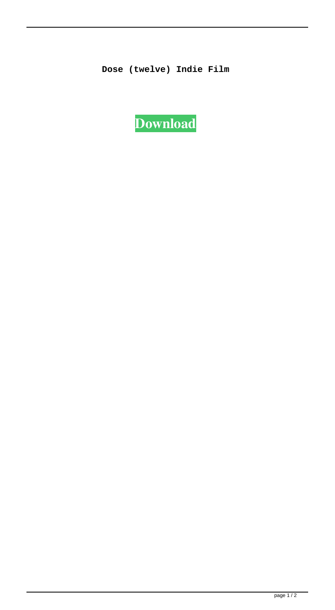

f